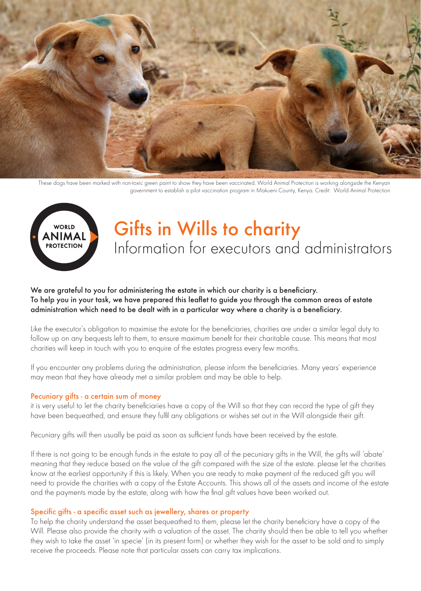

These dogs have been marked with non-toxic green paint to show they have been vaccinated. World Animal Protection is working alongside the Kenyan government to establish a pilot vaccination program in Makueni County, Kenya. Credit: World Animal Protection



# Gifts in Wills to charity Information for executors and administrators

## We are grateful to you for administering the estate in which our charity is a beneficiary. To help you in your task, we have prepared this leaflet to guide you through the common areas of estate administration which need to be dealt with in a particular way where a charity is a beneficiary.

Like the executor's obligation to maximise the estate for the beneficiaries, charities are under a similar legal duty to follow up on any bequests left to them, to ensure maximum benefit for their charitable cause. This means that most charities will keep in touch with you to enquire of the estates progress every few months.

If you encounter any problems during the administration, please inform the beneficiaries. Many years' experience may mean that they have already met a similar problem and may be able to help.

#### Pecuniary gifts - a certain sum of money

it is very useful to let the charity beneficiaries have a copy of the Will so that they can record the type of gift they have been bequeathed, and ensure they fulfil any obligations or wishes set out in the Will alongside their gift.

Pecuniary gifts will then usually be paid as soon as sufficient funds have been received by the estate.

If there is not going to be enough funds in the estate to pay all of the pecuniary gifts in the Will, the gifts will 'abate' meaning that they reduce based on the value of the gift compared with the size of the estate. please let the charities know at the earliest opportunity if this is likely. When you are ready to make payment of the reduced gift you will need to provide the charities with a copy of the Estate Accounts. This shows all of the assets and income of the estate and the payments made by the estate, along with how the final gift values have been worked out.

#### Specific gifts - a specific asset such as jewellery, shares or property

To help the charity understand the asset bequeathed to them, please let the charity beneficiary have a copy of the Will. Please also provide the charity with a valuation of the asset. The charity should then be able to tell you whether they wish to take the asset 'in specie' (in its present form) or whether they wish for the asset to be sold and to simply receive the proceeds. Please note that particular assets can carry tax implications.